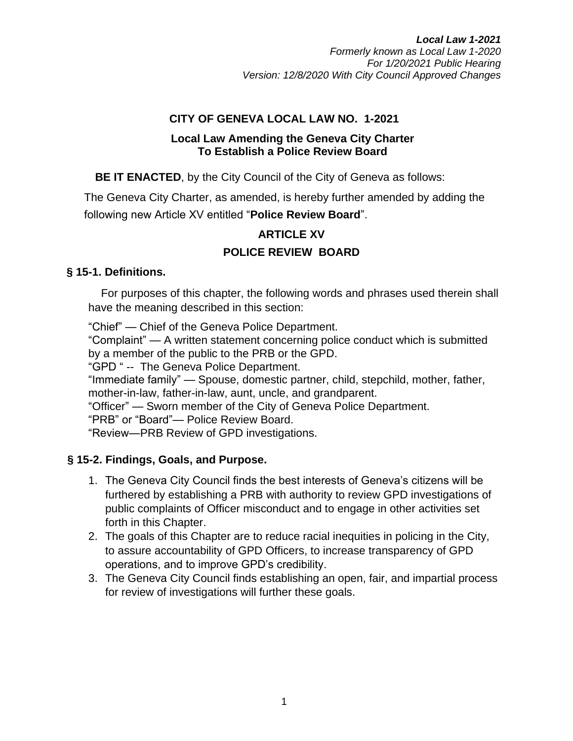#### **CITY OF GENEVA LOCAL LAW NO. 1-2021**

#### **Local Law Amending the Geneva City Charter To Establish a Police Review Board**

**BE IT ENACTED**, by the City Council of the City of Geneva as follows:

The Geneva City Charter, as amended, is hereby further amended by adding the following new Article XV entitled "**Police Review Board**".

# **ARTICLE XV POLICE REVIEW BOARD**

## **§ 15-1. Definitions.**

For purposes of this chapter, the following words and phrases used therein shall have the meaning described in this section:

"Chief" — Chief of the Geneva Police Department.

"Complaint" — A written statement concerning police conduct which is submitted by a member of the public to the PRB or the GPD.

"GPD " -- The Geneva Police Department.

"Immediate family" — Spouse, domestic partner, child, stepchild, mother, father, mother-in-law, father-in-law, aunt, uncle, and grandparent.

"Officer" — Sworn member of the City of Geneva Police Department.

"PRB" or "Board"— Police Review Board.

"Review—PRB Review of GPD investigations.

## **§ 15-2. Findings, Goals, and Purpose.**

- 1. The Geneva City Council finds the best interests of Geneva's citizens will be furthered by establishing a PRB with authority to review GPD investigations of public complaints of Officer misconduct and to engage in other activities set forth in this Chapter.
- 2. The goals of this Chapter are to reduce racial inequities in policing in the City, to assure accountability of GPD Officers, to increase transparency of GPD operations, and to improve GPD's credibility.
- 3. The Geneva City Council finds establishing an open, fair, and impartial process for review of investigations will further these goals.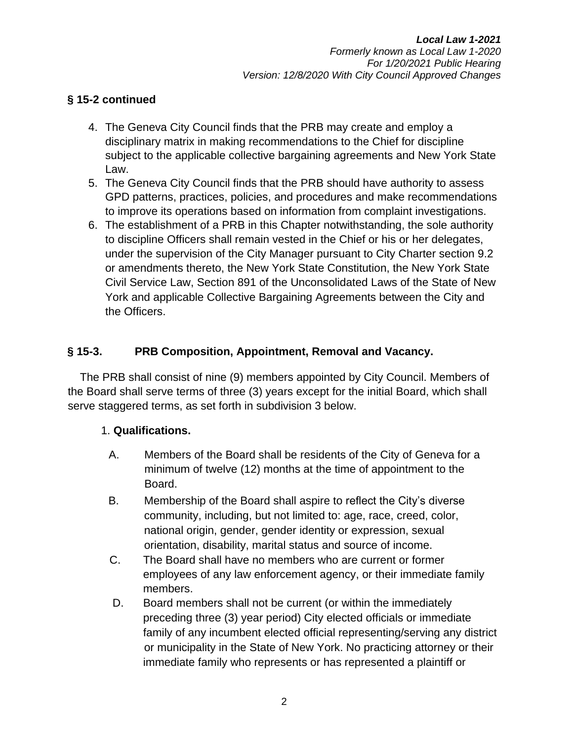#### **§ 15-2 continued**

- 4. The Geneva City Council finds that the PRB may create and employ a disciplinary matrix in making recommendations to the Chief for discipline subject to the applicable collective bargaining agreements and New York State Law.
- 5. The Geneva City Council finds that the PRB should have authority to assess GPD patterns, practices, policies, and procedures and make recommendations to improve its operations based on information from complaint investigations.
- 6. The establishment of a PRB in this Chapter notwithstanding, the sole authority to discipline Officers shall remain vested in the Chief or his or her delegates, under the supervision of the City Manager pursuant to City Charter section 9.2 or amendments thereto, the New York State Constitution, the New York State Civil Service Law, Section 891 of the Unconsolidated Laws of the State of New York and applicable Collective Bargaining Agreements between the City and the Officers.

## **§ 15-3. PRB Composition, Appointment, Removal and Vacancy.**

The PRB shall consist of nine (9) members appointed by City Council. Members of the Board shall serve terms of three (3) years except for the initial Board, which shall serve staggered terms, as set forth in subdivision 3 below.

#### 1. **Qualifications.**

- A. Members of the Board shall be residents of the City of Geneva for a minimum of twelve (12) months at the time of appointment to the Board.
- B. Membership of the Board shall aspire to reflect the City's diverse community, including, but not limited to: age, race, creed, color, national origin, gender, gender identity or expression, sexual orientation, disability, marital status and source of income.
- C. The Board shall have no members who are current or former employees of any law enforcement agency, or their immediate family members.
- D. Board members shall not be current (or within the immediately preceding three (3) year period) City elected officials or immediate family of any incumbent elected official representing/serving any district or municipality in the State of New York. No practicing attorney or their immediate family who represents or has represented a plaintiff or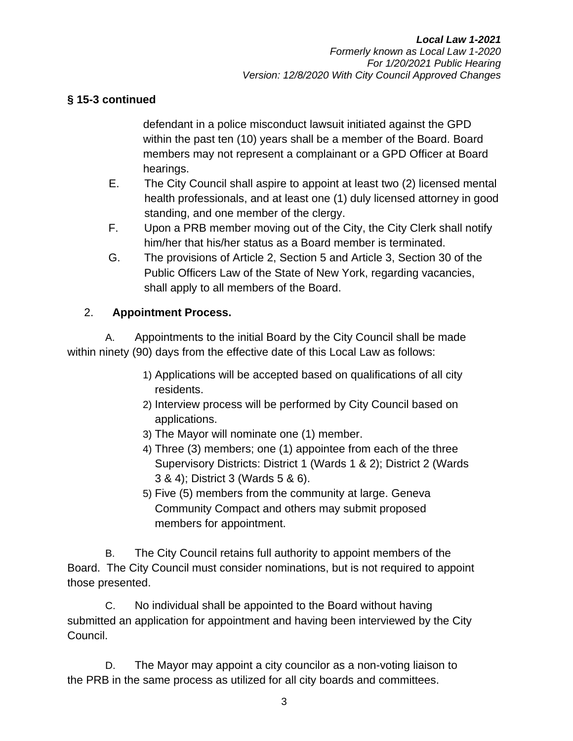#### **§ 15-3 continued**

defendant in a police misconduct lawsuit initiated against the GPD within the past ten (10) years shall be a member of the Board. Board members may not represent a complainant or a GPD Officer at Board hearings.

- E. The City Council shall aspire to appoint at least two (2) licensed mental health professionals, and at least one (1) duly licensed attorney in good standing, and one member of the clergy.
- F. Upon a PRB member moving out of the City, the City Clerk shall notify him/her that his/her status as a Board member is terminated.
- G. The provisions of Article 2, Section 5 and Article 3, Section 30 of the Public Officers Law of the State of New York, regarding vacancies, shall apply to all members of the Board.

## 2. **Appointment Process.**

A. Appointments to the initial Board by the City Council shall be made within ninety (90) days from the effective date of this Local Law as follows:

- 1) Applications will be accepted based on qualifications of all city residents.
- 2) Interview process will be performed by City Council based on applications.
- 3) The Mayor will nominate one (1) member.
- 4) Three (3) members; one (1) appointee from each of the three Supervisory Districts: District 1 (Wards 1 & 2); District 2 (Wards 3 & 4); District 3 (Wards 5 & 6).
- 5) Five (5) members from the community at large. Geneva Community Compact and others may submit proposed members for appointment.

B. The City Council retains full authority to appoint members of the Board. The City Council must consider nominations, but is not required to appoint those presented.

C. No individual shall be appointed to the Board without having submitted an application for appointment and having been interviewed by the City Council.

D. The Mayor may appoint a city councilor as a non-voting liaison to the PRB in the same process as utilized for all city boards and committees.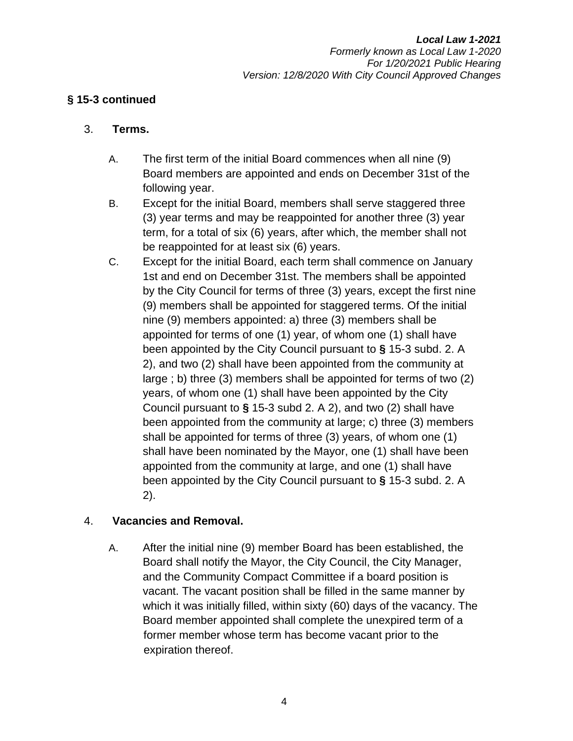#### **§ 15-3 continued**

#### 3. **Terms.**

- A. The first term of the initial Board commences when all nine (9) Board members are appointed and ends on December 31st of the following year.
- B. Except for the initial Board, members shall serve staggered three (3) year terms and may be reappointed for another three (3) year term, for a total of six (6) years, after which, the member shall not be reappointed for at least six (6) years.
- C. Except for the initial Board, each term shall commence on January 1st and end on December 31st. The members shall be appointed by the City Council for terms of three (3) years, except the first nine (9) members shall be appointed for staggered terms. Of the initial nine (9) members appointed: a) three (3) members shall be appointed for terms of one (1) year, of whom one (1) shall have been appointed by the City Council pursuant to **§** 15-3 subd. 2. A 2), and two (2) shall have been appointed from the community at large ; b) three (3) members shall be appointed for terms of two (2) years, of whom one (1) shall have been appointed by the City Council pursuant to **§** 15-3 subd 2. A 2), and two (2) shall have been appointed from the community at large; c) three (3) members shall be appointed for terms of three (3) years, of whom one (1) shall have been nominated by the Mayor, one (1) shall have been appointed from the community at large, and one (1) shall have been appointed by the City Council pursuant to **§** 15-3 subd. 2. A 2).

#### 4. **Vacancies and Removal.**

A. After the initial nine (9) member Board has been established, the Board shall notify the Mayor, the City Council, the City Manager, and the Community Compact Committee if a board position is vacant. The vacant position shall be filled in the same manner by which it was initially filled, within sixty (60) days of the vacancy. The Board member appointed shall complete the unexpired term of a former member whose term has become vacant prior to the expiration thereof.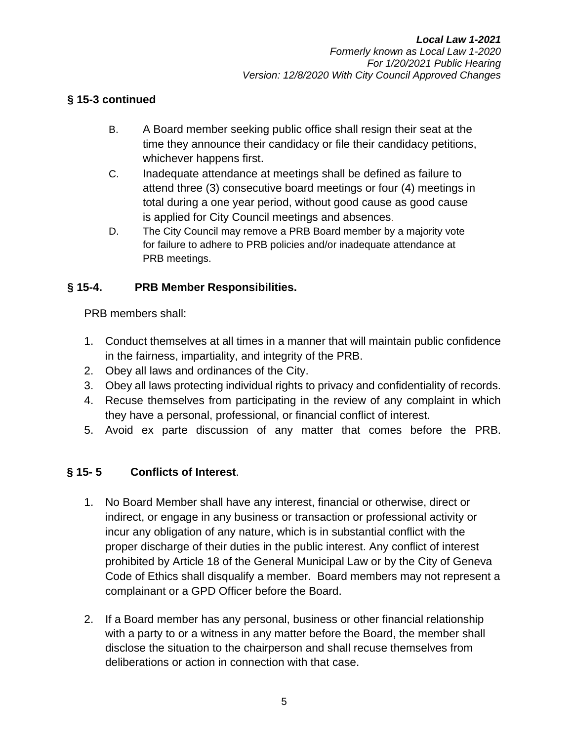#### **§ 15-3 continued**

- B. A Board member seeking public office shall resign their seat at the time they announce their candidacy or file their candidacy petitions, whichever happens first.
- C. Inadequate attendance at meetings shall be defined as failure to attend three (3) consecutive board meetings or four (4) meetings in total during a one year period, without good cause as good cause is applied for City Council meetings and absences.
- D. The City Council may remove a PRB Board member by a majority vote for failure to adhere to PRB policies and/or inadequate attendance at PRB meetings.

## **§ 15-4. PRB Member Responsibilities.**

PRB members shall:

- 1. Conduct themselves at all times in a manner that will maintain public confidence in the fairness, impartiality, and integrity of the PRB.
- 2. Obey all laws and ordinances of the City.
- 3. Obey all laws protecting individual rights to privacy and confidentiality of records.
- 4. Recuse themselves from participating in the review of any complaint in which they have a personal, professional, or financial conflict of interest.
- 5. Avoid ex parte discussion of any matter that comes before the PRB.

## **§ 15- 5 Conflicts of Interest**.

- 1. No Board Member shall have any interest, financial or otherwise, direct or indirect, or engage in any business or transaction or professional activity or incur any obligation of any nature, which is in substantial conflict with the proper discharge of their duties in the public interest. Any conflict of interest prohibited by Article 18 of the General Municipal Law or by the City of Geneva Code of Ethics shall disqualify a member. Board members may not represent a complainant or a GPD Officer before the Board.
- 2. If a Board member has any personal, business or other financial relationship with a party to or a witness in any matter before the Board, the member shall disclose the situation to the chairperson and shall recuse themselves from deliberations or action in connection with that case.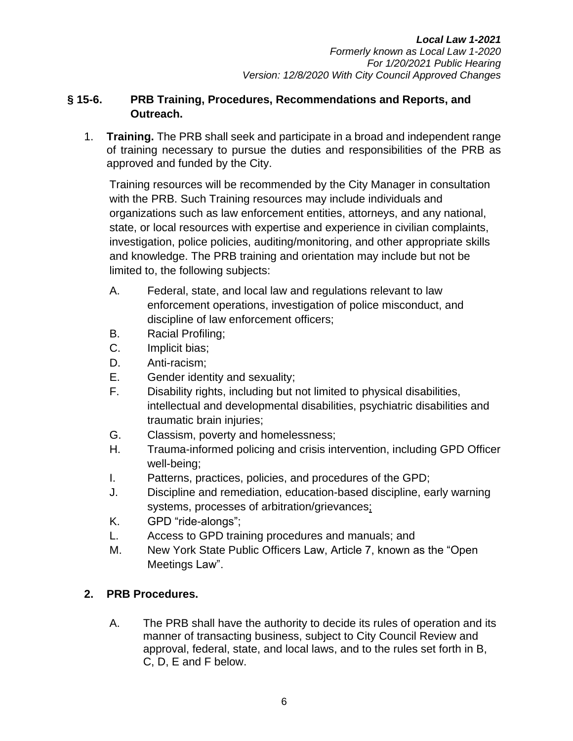#### **§ 15-6. PRB Training, Procedures, Recommendations and Reports, and Outreach.**

1. **Training.** The PRB shall seek and participate in a broad and independent range of training necessary to pursue the duties and responsibilities of the PRB as approved and funded by the City.

Training resources will be recommended by the City Manager in consultation with the PRB. Such Training resources may include individuals and organizations such as law enforcement entities, attorneys, and any national, state, or local resources with expertise and experience in civilian complaints, investigation, police policies, auditing/monitoring, and other appropriate skills and knowledge. The PRB training and orientation may include but not be limited to, the following subjects:

- A. Federal, state, and local law and regulations relevant to law enforcement operations, investigation of police misconduct, and discipline of law enforcement officers;
- B. Racial Profiling;
- C. Implicit bias;
- D. Anti-racism;
- E. Gender identity and sexuality;
- F. Disability rights, including but not limited to physical disabilities, intellectual and developmental disabilities, psychiatric disabilities and traumatic brain injuries;
- G. Classism, poverty and homelessness;
- H. Trauma-informed policing and crisis intervention, including GPD Officer well-being;
- I. Patterns, practices, policies, and procedures of the GPD;
- J. Discipline and remediation, education-based discipline, early warning systems, processes of arbitration/grievances;
- K. GPD "ride-alongs";
- L. Access to GPD training procedures and manuals; and
- M. New York State Public Officers Law, Article 7, known as the "Open Meetings Law".

# **2. PRB Procedures.**

A. The PRB shall have the authority to decide its rules of operation and its manner of transacting business, subject to City Council Review and approval, federal, state, and local laws, and to the rules set forth in B, C, D, E and F below.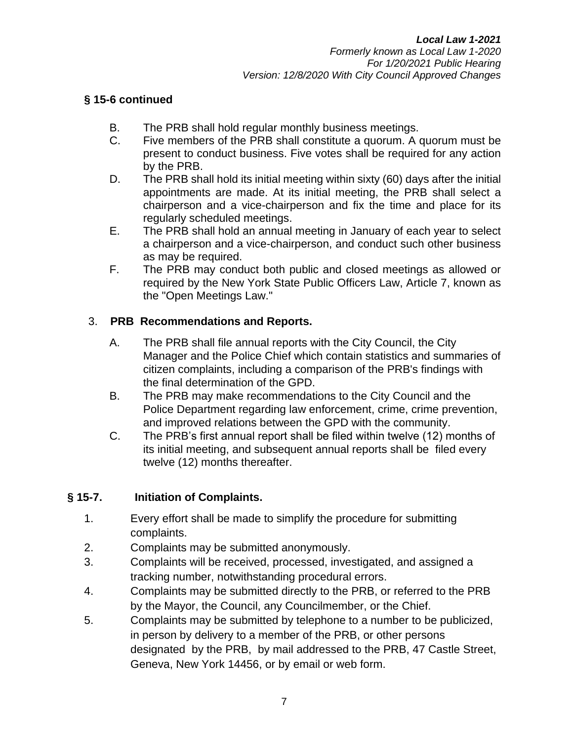#### **§ 15-6 continued**

- B. The PRB shall hold regular monthly business meetings.
- C. Five members of the PRB shall constitute a quorum. A quorum must be present to conduct business. Five votes shall be required for any action by the PRB.
- D. The PRB shall hold its initial meeting within sixty (60) days after the initial appointments are made. At its initial meeting, the PRB shall select a chairperson and a vice-chairperson and fix the time and place for its regularly scheduled meetings.
- E. The PRB shall hold an annual meeting in January of each year to select a chairperson and a vice-chairperson, and conduct such other business as may be required.
- F. The PRB may conduct both public and closed meetings as allowed or required by the New York State Public Officers Law, Article 7, known as the "Open Meetings Law."

#### 3. **PRB Recommendations and Reports.**

- A. The PRB shall file annual reports with the City Council, the City Manager and the Police Chief which contain statistics and summaries of citizen complaints, including a comparison of the PRB's findings with the final determination of the GPD.
- B. The PRB may make recommendations to the City Council and the Police Department regarding law enforcement, crime, crime prevention, and improved relations between the GPD with the community.
- C. The PRB's first annual report shall be filed within twelve (12) months of its initial meeting, and subsequent annual reports shall be filed every twelve (12) months thereafter.

#### **§ 15-7. Initiation of Complaints.**

- 1. Every effort shall be made to simplify the procedure for submitting complaints.
- 2. Complaints may be submitted anonymously.
- 3. Complaints will be received, processed, investigated, and assigned a tracking number, notwithstanding procedural errors.
- 4. Complaints may be submitted directly to the PRB, or referred to the PRB by the Mayor, the Council, any Councilmember, or the Chief.
- 5. Complaints may be submitted by telephone to a number to be publicized, in person by delivery to a member of the PRB, or other persons designated by the PRB, by mail addressed to the PRB, 47 Castle Street, Geneva, New York 14456, or by email or web form.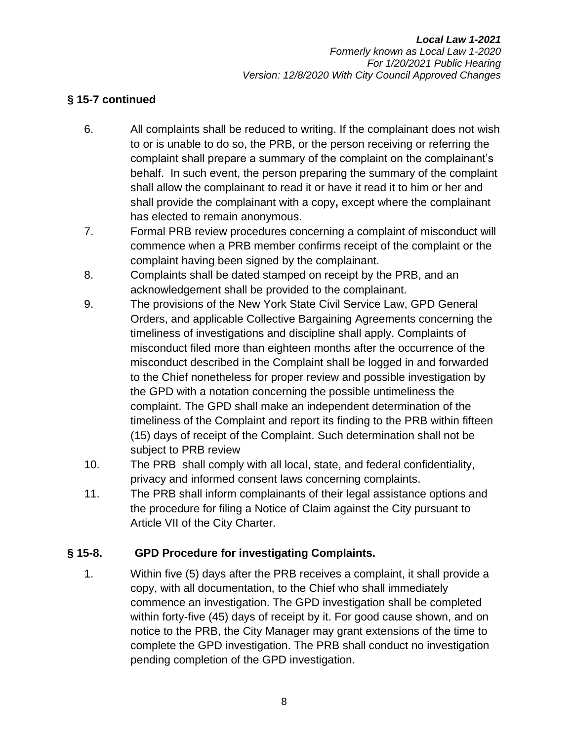## **§ 15-7 continued**

- 6. All complaints shall be reduced to writing. If the complainant does not wish to or is unable to do so, the PRB, or the person receiving or referring the complaint shall prepare a summary of the complaint on the complainant's behalf. In such event, the person preparing the summary of the complaint shall allow the complainant to read it or have it read it to him or her and shall provide the complainant with a copy**,** except where the complainant has elected to remain anonymous.
- 7. Formal PRB review procedures concerning a complaint of misconduct will commence when a PRB member confirms receipt of the complaint or the complaint having been signed by the complainant.
- 8. Complaints shall be dated stamped on receipt by the PRB, and an acknowledgement shall be provided to the complainant.
- 9. The provisions of the New York State Civil Service Law, GPD General Orders, and applicable Collective Bargaining Agreements concerning the timeliness of investigations and discipline shall apply. Complaints of misconduct filed more than eighteen months after the occurrence of the misconduct described in the Complaint shall be logged in and forwarded to the Chief nonetheless for proper review and possible investigation by the GPD with a notation concerning the possible untimeliness the complaint. The GPD shall make an independent determination of the timeliness of the Complaint and report its finding to the PRB within fifteen (15) days of receipt of the Complaint. Such determination shall not be subject to PRB review
- 10. The PRB shall comply with all local, state, and federal confidentiality, privacy and informed consent laws concerning complaints.
- 11. The PRB shall inform complainants of their legal assistance options and the procedure for filing a Notice of Claim against the City pursuant to Article VII of the City Charter.

## **§ 15-8. GPD Procedure for investigating Complaints.**

1. Within five (5) days after the PRB receives a complaint, it shall provide a copy, with all documentation, to the Chief who shall immediately commence an investigation. The GPD investigation shall be completed within forty-five (45) days of receipt by it. For good cause shown, and on notice to the PRB, the City Manager may grant extensions of the time to complete the GPD investigation. The PRB shall conduct no investigation pending completion of the GPD investigation.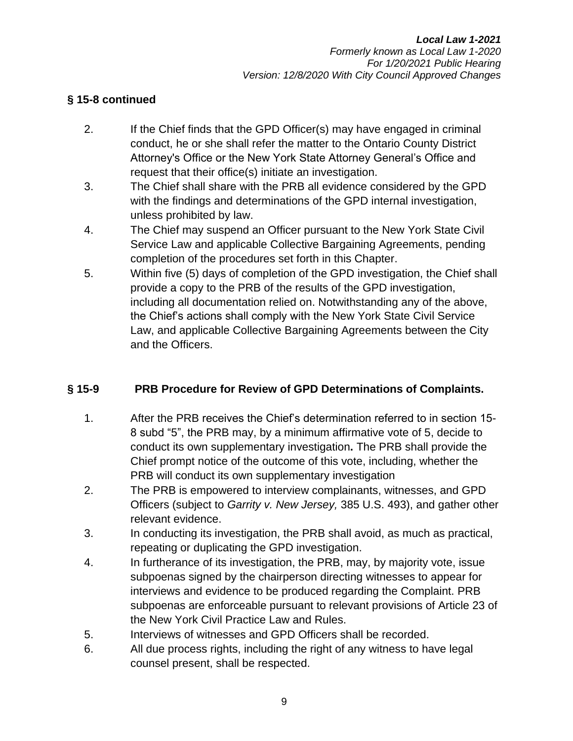#### **§ 15-8 continued**

- 2. If the Chief finds that the GPD Officer(s) may have engaged in criminal conduct, he or she shall refer the matter to the Ontario County District Attorney's Office or the New York State Attorney General's Office and request that their office(s) initiate an investigation.
- 3. The Chief shall share with the PRB all evidence considered by the GPD with the findings and determinations of the GPD internal investigation, unless prohibited by law.
- 4. The Chief may suspend an Officer pursuant to the New York State Civil Service Law and applicable Collective Bargaining Agreements, pending completion of the procedures set forth in this Chapter.
- 5. Within five (5) days of completion of the GPD investigation, the Chief shall provide a copy to the PRB of the results of the GPD investigation, including all documentation relied on. Notwithstanding any of the above, the Chief's actions shall comply with the New York State Civil Service Law, and applicable Collective Bargaining Agreements between the City and the Officers.

## **§ 15-9 PRB Procedure for Review of GPD Determinations of Complaints.**

- 1. After the PRB receives the Chief's determination referred to in section 15- 8 subd "5", the PRB may, by a minimum affirmative vote of 5, decide to conduct its own supplementary investigation**.** The PRB shall provide the Chief prompt notice of the outcome of this vote, including, whether the PRB will conduct its own supplementary investigation
- 2. The PRB is empowered to interview complainants, witnesses, and GPD Officers (subject to *Garrity v. New Jersey,* 385 U.S. 493), and gather other relevant evidence.
- 3. In conducting its investigation, the PRB shall avoid, as much as practical, repeating or duplicating the GPD investigation.
- 4. In furtherance of its investigation, the PRB, may, by majority vote, issue subpoenas signed by the chairperson directing witnesses to appear for interviews and evidence to be produced regarding the Complaint. PRB subpoenas are enforceable pursuant to relevant provisions of Article 23 of the New York Civil Practice Law and Rules.
- 5. Interviews of witnesses and GPD Officers shall be recorded.
- 6. All due process rights, including the right of any witness to have legal counsel present, shall be respected.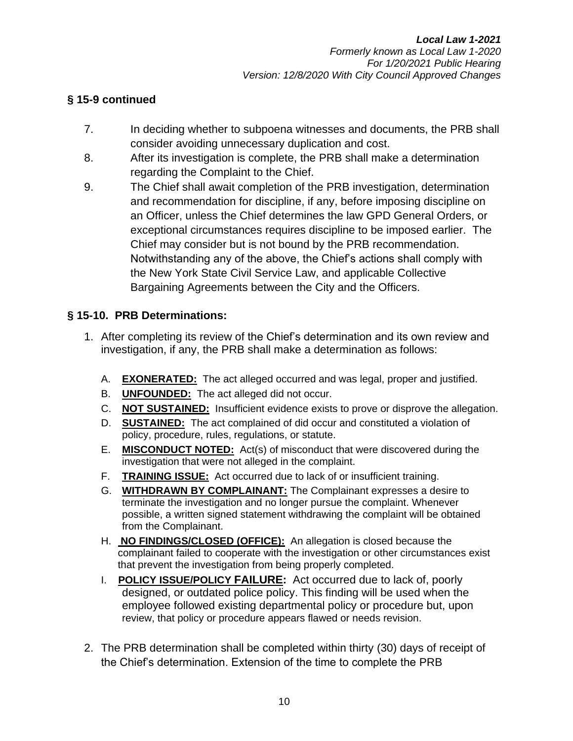## **§ 15-9 continued**

- 7. In deciding whether to subpoena witnesses and documents, the PRB shall consider avoiding unnecessary duplication and cost.
- 8. After its investigation is complete, the PRB shall make a determination regarding the Complaint to the Chief.
- 9. The Chief shall await completion of the PRB investigation, determination and recommendation for discipline, if any, before imposing discipline on an Officer, unless the Chief determines the law GPD General Orders, or exceptional circumstances requires discipline to be imposed earlier. The Chief may consider but is not bound by the PRB recommendation. Notwithstanding any of the above, the Chief's actions shall comply with the New York State Civil Service Law, and applicable Collective Bargaining Agreements between the City and the Officers.

# **§ 15-10. PRB Determinations:**

- 1. After completing its review of the Chief's determination and its own review and investigation, if any, the PRB shall make a determination as follows:
	- A. **EXONERATED:** The act alleged occurred and was legal, proper and justified.
	- B. **UNFOUNDED:** The act alleged did not occur.
	- C. **NOT SUSTAINED:** Insufficient evidence exists to prove or disprove the allegation.
	- D. **SUSTAINED:** The act complained of did occur and constituted a violation of policy, procedure, rules, regulations, or statute.
	- E. **MISCONDUCT NOTED:** Act(s) of misconduct that were discovered during the investigation that were not alleged in the complaint.
	- F. **TRAINING ISSUE:** Act occurred due to lack of or insufficient training.
	- G. **WITHDRAWN BY COMPLAINANT:** The Complainant expresses a desire to terminate the investigation and no longer pursue the complaint. Whenever possible, a written signed statement withdrawing the complaint will be obtained from the Complainant.
	- H. **NO FINDINGS/CLOSED (OFFICE):** An allegation is closed because the complainant failed to cooperate with the investigation or other circumstances exist that prevent the investigation from being properly completed.
	- I. **POLICY ISSUE/POLICY FAILURE:** Act occurred due to lack of, poorly designed, or outdated police policy. This finding will be used when the employee followed existing departmental policy or procedure but, upon review, that policy or procedure appears flawed or needs revision.
- 2. The PRB determination shall be completed within thirty (30) days of receipt of the Chief's determination. Extension of the time to complete the PRB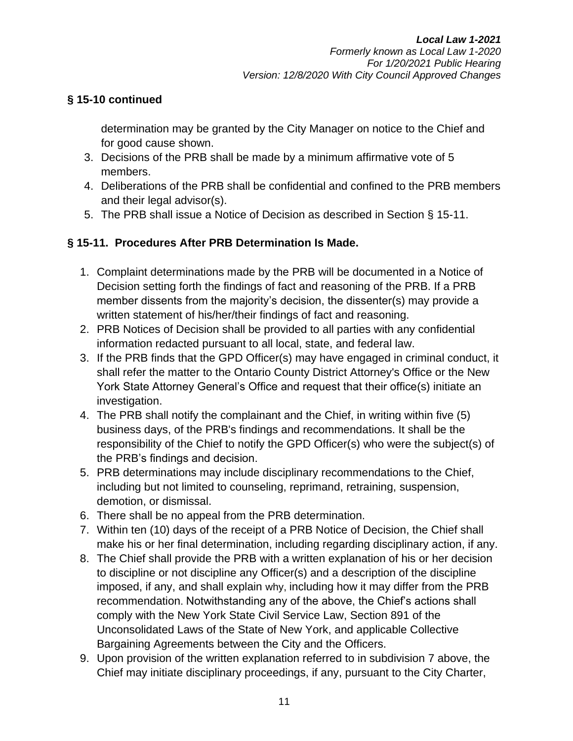## **§ 15-10 continued**

determination may be granted by the City Manager on notice to the Chief and for good cause shown.

- 3. Decisions of the PRB shall be made by a minimum affirmative vote of 5 members.
- 4. Deliberations of the PRB shall be confidential and confined to the PRB members and their legal advisor(s).
- 5. The PRB shall issue a Notice of Decision as described in Section § 15-11.

# **§ 15-11. Procedures After PRB Determination Is Made.**

- 1. Complaint determinations made by the PRB will be documented in a Notice of Decision setting forth the findings of fact and reasoning of the PRB. If a PRB member dissents from the majority's decision, the dissenter(s) may provide a written statement of his/her/their findings of fact and reasoning.
- 2. PRB Notices of Decision shall be provided to all parties with any confidential information redacted pursuant to all local, state, and federal law.
- 3. If the PRB finds that the GPD Officer(s) may have engaged in criminal conduct, it shall refer the matter to the Ontario County District Attorney's Office or the New York State Attorney General's Office and request that their office(s) initiate an investigation.
- 4. The PRB shall notify the complainant and the Chief, in writing within five (5) business days, of the PRB's findings and recommendations. It shall be the responsibility of the Chief to notify the GPD Officer(s) who were the subject(s) of the PRB's findings and decision.
- 5. PRB determinations may include disciplinary recommendations to the Chief, including but not limited to counseling, reprimand, retraining, suspension, demotion, or dismissal.
- 6. There shall be no appeal from the PRB determination.
- 7. Within ten (10) days of the receipt of a PRB Notice of Decision, the Chief shall make his or her final determination, including regarding disciplinary action, if any.
- 8. The Chief shall provide the PRB with a written explanation of his or her decision to discipline or not discipline any Officer(s) and a description of the discipline imposed, if any, and shall explain why, including how it may differ from the PRB recommendation. Notwithstanding any of the above, the Chief's actions shall comply with the New York State Civil Service Law, Section 891 of the Unconsolidated Laws of the State of New York, and applicable Collective Bargaining Agreements between the City and the Officers.
- 9. Upon provision of the written explanation referred to in subdivision 7 above, the Chief may initiate disciplinary proceedings, if any, pursuant to the City Charter,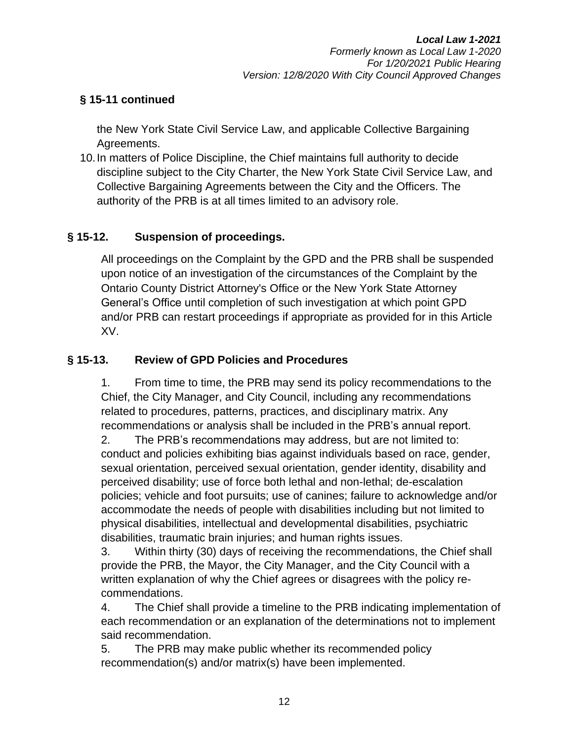# **§ 15-11 continued**

the New York State Civil Service Law, and applicable Collective Bargaining Agreements.

10.In matters of Police Discipline, the Chief maintains full authority to decide discipline subject to the City Charter, the New York State Civil Service Law, and Collective Bargaining Agreements between the City and the Officers. The authority of the PRB is at all times limited to an advisory role.

## **§ 15-12. Suspension of proceedings.**

All proceedings on the Complaint by the GPD and the PRB shall be suspended upon notice of an investigation of the circumstances of the Complaint by the Ontario County District Attorney's Office or the New York State Attorney General's Office until completion of such investigation at which point GPD and/or PRB can restart proceedings if appropriate as provided for in this Article XV.

#### **§ 15-13. Review of GPD Policies and Procedures**

1. From time to time, the PRB may send its policy recommendations to the Chief, the City Manager, and City Council, including any recommendations related to procedures, patterns, practices, and disciplinary matrix. Any recommendations or analysis shall be included in the PRB's annual report.

2. The PRB's recommendations may address, but are not limited to: conduct and policies exhibiting bias against individuals based on race, gender, sexual orientation, perceived sexual orientation, gender identity, disability and perceived disability; use of force both lethal and non-lethal; de-escalation policies; vehicle and foot pursuits; use of canines; failure to acknowledge and/or accommodate the needs of people with disabilities including but not limited to physical disabilities, intellectual and developmental disabilities, psychiatric disabilities, traumatic brain injuries; and human rights issues.

3. Within thirty (30) days of receiving the recommendations, the Chief shall provide the PRB, the Mayor, the City Manager, and the City Council with a written explanation of why the Chief agrees or disagrees with the policy recommendations.

4. The Chief shall provide a timeline to the PRB indicating implementation of each recommendation or an explanation of the determinations not to implement said recommendation.

5. The PRB may make public whether its recommended policy recommendation(s) and/or matrix(s) have been implemented.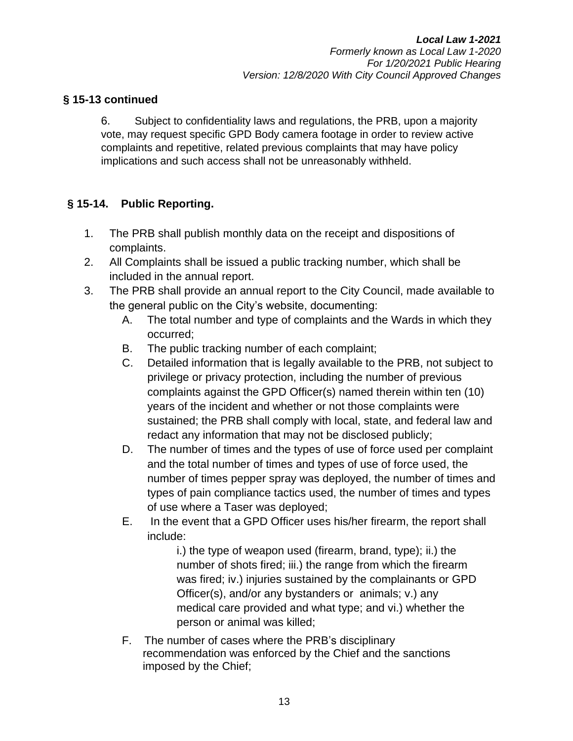#### **§ 15-13 continued**

6. Subject to confidentiality laws and regulations, the PRB, upon a majority vote, may request specific GPD Body camera footage in order to review active complaints and repetitive, related previous complaints that may have policy implications and such access shall not be unreasonably withheld.

## **§ 15-14. Public Reporting.**

- 1. The PRB shall publish monthly data on the receipt and dispositions of complaints.
- 2. All Complaints shall be issued a public tracking number, which shall be included in the annual report.
- 3. The PRB shall provide an annual report to the City Council, made available to the general public on the City's website, documenting:
	- A. The total number and type of complaints and the Wards in which they occurred;
	- B. The public tracking number of each complaint;
	- C. Detailed information that is legally available to the PRB, not subject to privilege or privacy protection, including the number of previous complaints against the GPD Officer(s) named therein within ten (10) years of the incident and whether or not those complaints were sustained; the PRB shall comply with local, state, and federal law and redact any information that may not be disclosed publicly;
	- D. The number of times and the types of use of force used per complaint and the total number of times and types of use of force used, the number of times pepper spray was deployed, the number of times and types of pain compliance tactics used, the number of times and types of use where a Taser was deployed;
	- E. In the event that a GPD Officer uses his/her firearm, the report shall include:

i.) the type of weapon used (firearm, brand, type); ii.) the number of shots fired; iii.) the range from which the firearm was fired; iv.) injuries sustained by the complainants or GPD Officer(s), and/or any bystanders or animals; v.) any medical care provided and what type; and vi.) whether the person or animal was killed;

F. The number of cases where the PRB's disciplinary recommendation was enforced by the Chief and the sanctions imposed by the Chief;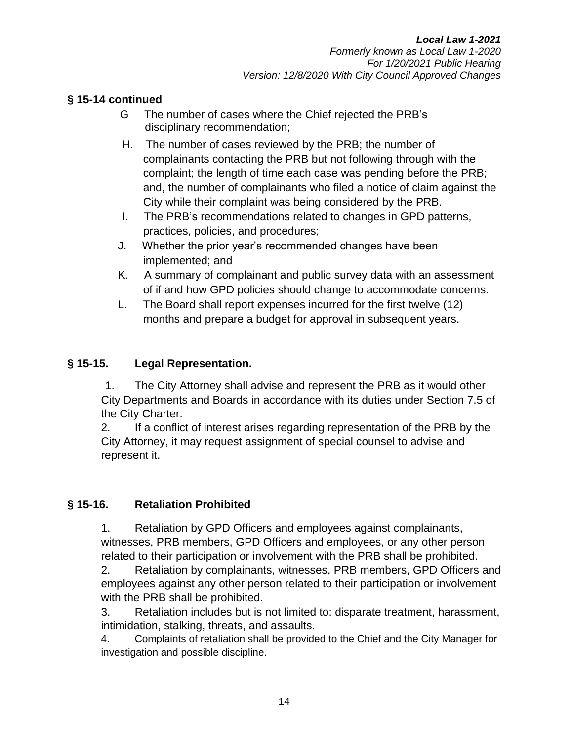## **§ 15-14 continued**

- G The number of cases where the Chief rejected the PRB's disciplinary recommendation;
- H. The number of cases reviewed by the PRB; the number of complainants contacting the PRB but not following through with the complaint; the length of time each case was pending before the PRB; and, the number of complainants who filed a notice of claim against the City while their complaint was being considered by the PRB.
- I. The PRB's recommendations related to changes in GPD patterns, practices, policies, and procedures;
- J. Whether the prior year's recommended changes have been implemented; and
- K. A summary of complainant and public survey data with an assessment of if and how GPD policies should change to accommodate concerns.
- L. The Board shall report expenses incurred for the first twelve (12) months and prepare a budget for approval in subsequent years.

# **§ 15-15. Legal Representation.**

1. The City Attorney shall advise and represent the PRB as it would other City Departments and Boards in accordance with its duties under Section 7.5 of the City Charter.

2. If a conflict of interest arises regarding representation of the PRB by the City Attorney, it may request assignment of special counsel to advise and represent it.

## **§ 15-16. Retaliation Prohibited**

1. Retaliation by GPD Officers and employees against complainants, witnesses, PRB members, GPD Officers and employees, or any other person related to their participation or involvement with the PRB shall be prohibited.

2. Retaliation by complainants, witnesses, PRB members, GPD Officers and employees against any other person related to their participation or involvement with the PRB shall be prohibited.

3. Retaliation includes but is not limited to: disparate treatment, harassment, intimidation, stalking, threats, and assaults.

4. Complaints of retaliation shall be provided to the Chief and the City Manager for investigation and possible discipline.